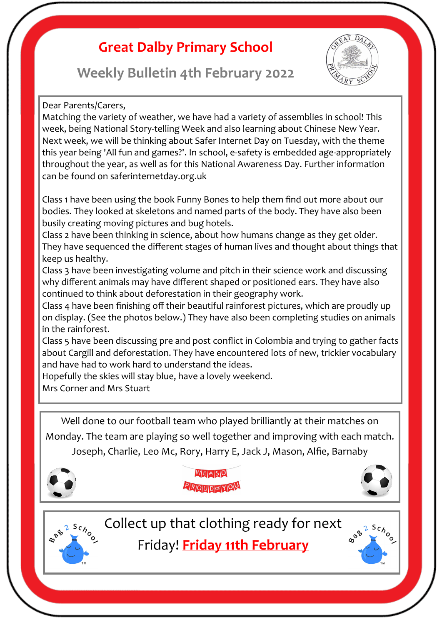## **Great Dalby Primary School**





#### Dear Parents/Carers,

Matching the variety of weather, we have had a variety of assemblies in school! This week, being National Story-telling Week and also learning about Chinese New Year. Next week, we will be thinking about Safer Internet Day on Tuesday, with the theme this year being 'All fun and games?'. In school, e-safety is embedded age-appropriately throughout the year, as well as for this National Awareness Day. Further information can be found on saferinternetday.org.uk

Class 1 have been using the book Funny Bones to help them find out more about our bodies. They looked at skeletons and named parts of the body. They have also been busily creating moving pictures and bug hotels.

Class 2 have been thinking in science, about how humans change as they get older. They have sequenced the different stages of human lives and thought about things that keep us healthy.

Class 3 have been investigating volume and pitch in their science work and discussing why different animals may have different shaped or positioned ears. They have also continued to think about deforestation in their geography work.

Class 4 have been finishing off their beautiful rainforest pictures, which are proudly up on display. (See the photos below.) They have also been completing studies on animals in the rainforest.

Class 5 have been discussing pre and post conflict in Colombia and trying to gather facts about Cargill and deforestation. They have encountered lots of new, trickier vocabulary and have had to work hard to understand the ideas.

Hopefully the skies will stay blue, have a lovely weekend.

Mrs Corner and Mrs Stuart

Well done to our football team who played brilliantly at their matches on Monday. The team are playing so well together and improving with each match. Joseph, Charlie, Leo Mc, Rory, Harry E, Jack J, Mason, Alfie, Barnaby



WE AREIS C PROUDOFYOU





Collect up that clothing ready for next

Friday! **Friday 11th February** 

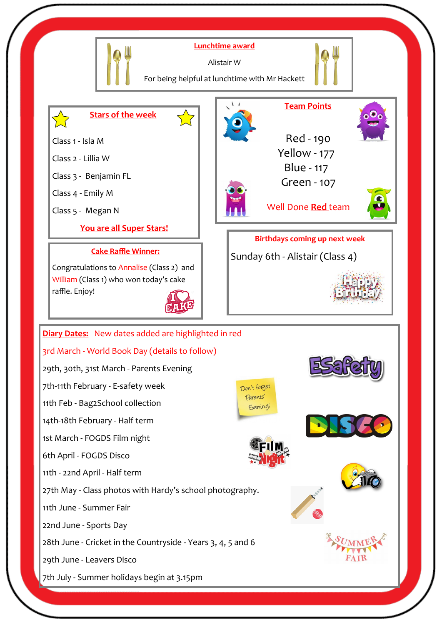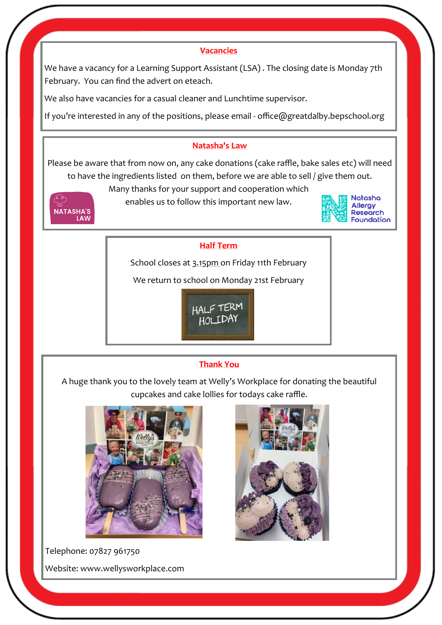#### **Vacancies**

We have a vacancy for a Learning Support Assistant (LSA) . The closing date is Monday 7th February. You can find the advert on eteach.

We also have vacancies for a casual cleaner and Lunchtime supervisor.

If you're interested in any of the positions, please email - office@greatdalby.bepschool.org

#### **Natasha's Law**

Please be aware that from now on, any cake donations (cake raffle, bake sales etc) will need to have the ingredients listed on them, before we are able to sell / give them out.



Many thanks for your support and cooperation which

enables us to follow this important new law.



#### **Half Term**

School closes at 3.15pm on Friday 11th February

We return to school on Monday 21st February



### **Thank You**

A huge thank you to the lovely team at Welly's Workplace for donating the beautiful cupcakes and cake lollies for todays cake raffle.



Telephone: 07827 961750 Website: www.wellysworkplace.com

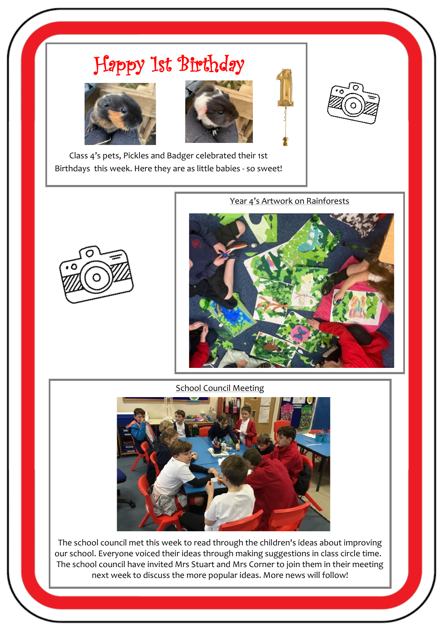# Happy 1st Birthday









Class 4's pets, Pickles and Badger celebrated their 1st Birthdays this week. Here they are as little babies - so sweet!



Year 4's Artwork on Rainforests



School Council Meeting



The school council met this week to read through the children's ideas about improving our school. Everyone voiced their ideas through making suggestions in class circle time. The school council have invited Mrs Stuart and Mrs Corner to join them in their meeting next week to discuss the more popular ideas. More news will follow!